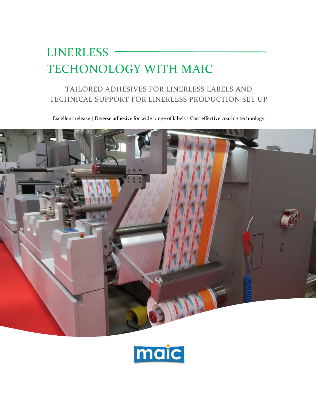# **LINERLESS** TECHONOLOGY WITH MAIC

# TAILORED ADHESIVES FOR LINERLESS LABELS AND TECHNICAL SUPPORT FOR LINERLESS PRODUCTION SET UP

Excellent release | Diverse adhesive for wide range of labels | Cost effective coating technology